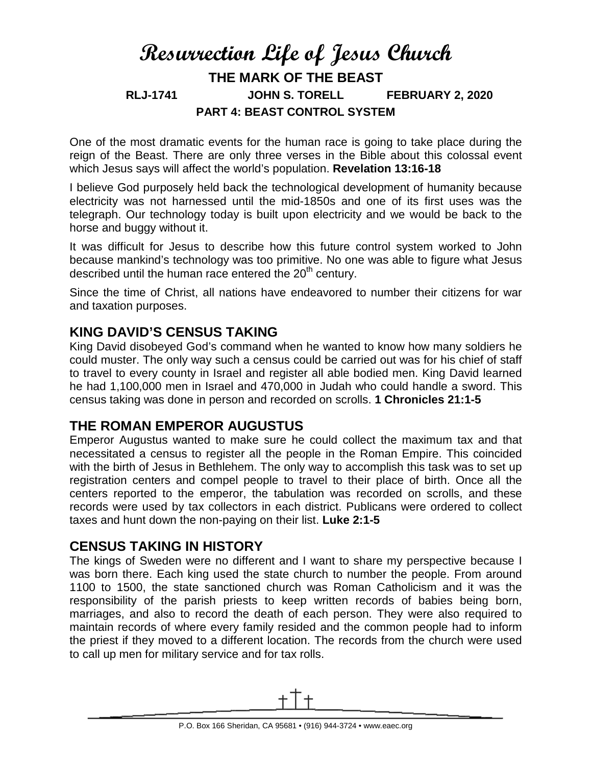# **Resurrection Life of Jesus Church THE MARK OF THE BEAST RLJ-1741 JOHN S. TORELL FEBRUARY 2, 2020 PART 4: BEAST CONTROL SYSTEM**

One of the most dramatic events for the human race is going to take place during the reign of the Beast. There are only three verses in the Bible about this colossal event which Jesus says will affect the world's population. **Revelation 13:16-18**

I believe God purposely held back the technological development of humanity because electricity was not harnessed until the mid-1850s and one of its first uses was the telegraph. Our technology today is built upon electricity and we would be back to the horse and buggy without it.

It was difficult for Jesus to describe how this future control system worked to John because mankind's technology was too primitive. No one was able to figure what Jesus described until the human race entered the  $20<sup>th</sup>$  century.

Since the time of Christ, all nations have endeavored to number their citizens for war and taxation purposes.

#### **KING DAVID'S CENSUS TAKING**

King David disobeyed God's command when he wanted to know how many soldiers he could muster. The only way such a census could be carried out was for his chief of staff to travel to every county in Israel and register all able bodied men. King David learned he had 1,100,000 men in Israel and 470,000 in Judah who could handle a sword. This census taking was done in person and recorded on scrolls. **1 Chronicles 21:1-5**

## **THE ROMAN EMPEROR AUGUSTUS**

Emperor Augustus wanted to make sure he could collect the maximum tax and that necessitated a census to register all the people in the Roman Empire. This coincided with the birth of Jesus in Bethlehem. The only way to accomplish this task was to set up registration centers and compel people to travel to their place of birth. Once all the centers reported to the emperor, the tabulation was recorded on scrolls, and these records were used by tax collectors in each district. Publicans were ordered to collect taxes and hunt down the non-paying on their list. **Luke 2:1-5**

## **CENSUS TAKING IN HISTORY**

The kings of Sweden were no different and I want to share my perspective because I was born there. Each king used the state church to number the people. From around 1100 to 1500, the state sanctioned church was Roman Catholicism and it was the responsibility of the parish priests to keep written records of babies being born, marriages, and also to record the death of each person. They were also required to maintain records of where every family resided and the common people had to inform the priest if they moved to a different location. The records from the church were used to call up men for military service and for tax rolls.

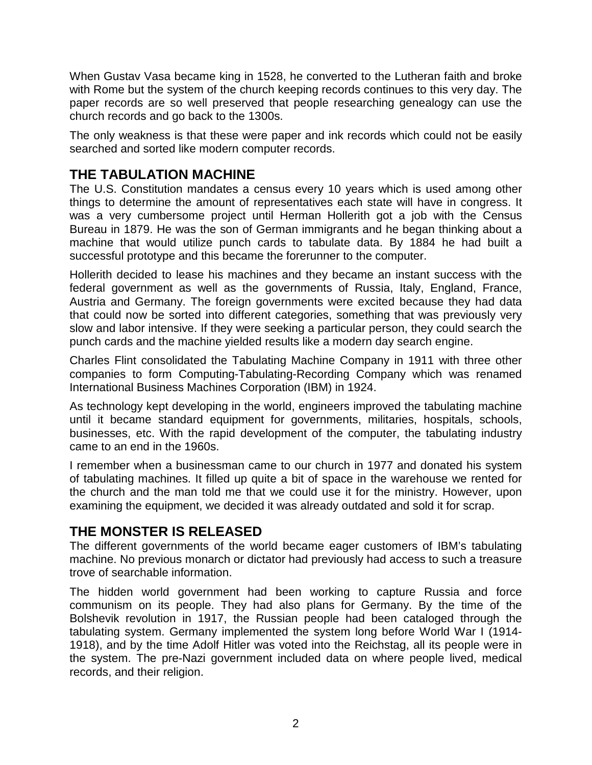When Gustav Vasa became king in 1528, he converted to the Lutheran faith and broke with Rome but the system of the church keeping records continues to this very day. The paper records are so well preserved that people researching genealogy can use the church records and go back to the 1300s.

The only weakness is that these were paper and ink records which could not be easily searched and sorted like modern computer records.

# **THE TABULATION MACHINE**

The U.S. Constitution mandates a census every 10 years which is used among other things to determine the amount of representatives each state will have in congress. It was a very cumbersome project until Herman Hollerith got a job with the Census Bureau in 1879. He was the son of German immigrants and he began thinking about a machine that would utilize punch cards to tabulate data. By 1884 he had built a successful prototype and this became the forerunner to the computer.

Hollerith decided to lease his machines and they became an instant success with the federal government as well as the governments of Russia, Italy, England, France, Austria and Germany. The foreign governments were excited because they had data that could now be sorted into different categories, something that was previously very slow and labor intensive. If they were seeking a particular person, they could search the punch cards and the machine yielded results like a modern day search engine.

Charles Flint consolidated the Tabulating Machine Company in 1911 with three other companies to form Computing-Tabulating-Recording Company which was renamed International Business Machines Corporation (IBM) in 1924.

As technology kept developing in the world, engineers improved the tabulating machine until it became standard equipment for governments, militaries, hospitals, schools, businesses, etc. With the rapid development of the computer, the tabulating industry came to an end in the 1960s.

I remember when a businessman came to our church in 1977 and donated his system of tabulating machines. It filled up quite a bit of space in the warehouse we rented for the church and the man told me that we could use it for the ministry. However, upon examining the equipment, we decided it was already outdated and sold it for scrap.

## **THE MONSTER IS RELEASED**

The different governments of the world became eager customers of IBM's tabulating machine. No previous monarch or dictator had previously had access to such a treasure trove of searchable information.

The hidden world government had been working to capture Russia and force communism on its people. They had also plans for Germany. By the time of the Bolshevik revolution in 1917, the Russian people had been cataloged through the tabulating system. Germany implemented the system long before World War I (1914- 1918), and by the time Adolf Hitler was voted into the Reichstag, all its people were in the system. The pre-Nazi government included data on where people lived, medical records, and their religion.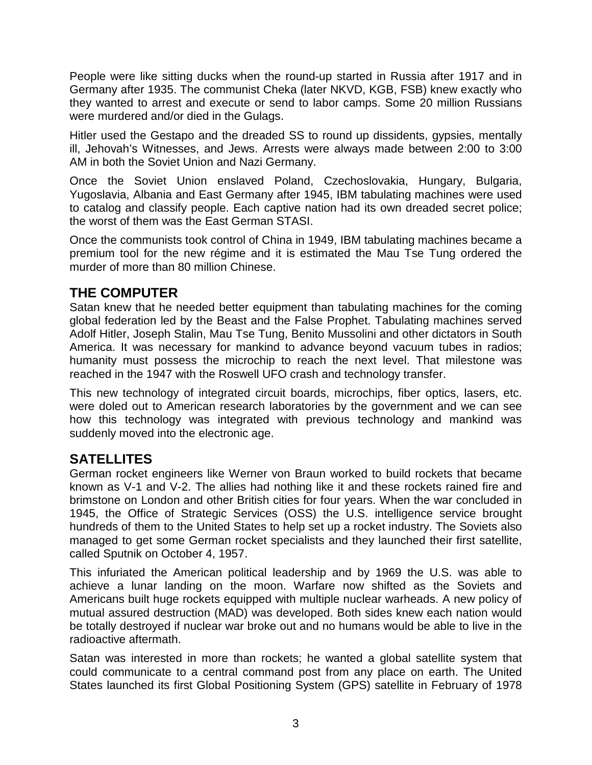People were like sitting ducks when the round-up started in Russia after 1917 and in Germany after 1935. The communist Cheka (later NKVD, KGB, FSB) knew exactly who they wanted to arrest and execute or send to labor camps. Some 20 million Russians were murdered and/or died in the Gulags.

Hitler used the Gestapo and the dreaded SS to round up dissidents, gypsies, mentally ill, Jehovah's Witnesses, and Jews. Arrests were always made between 2:00 to 3:00 AM in both the Soviet Union and Nazi Germany.

Once the Soviet Union enslaved Poland, Czechoslovakia, Hungary, Bulgaria, Yugoslavia, Albania and East Germany after 1945, IBM tabulating machines were used to catalog and classify people. Each captive nation had its own dreaded secret police; the worst of them was the East German STASI.

Once the communists took control of China in 1949, IBM tabulating machines became a premium tool for the new régime and it is estimated the Mau Tse Tung ordered the murder of more than 80 million Chinese.

# **THE COMPUTER**

Satan knew that he needed better equipment than tabulating machines for the coming global federation led by the Beast and the False Prophet. Tabulating machines served Adolf Hitler, Joseph Stalin, Mau Tse Tung, Benito Mussolini and other dictators in South America. It was necessary for mankind to advance beyond vacuum tubes in radios; humanity must possess the microchip to reach the next level. That milestone was reached in the 1947 with the Roswell UFO crash and technology transfer.

This new technology of integrated circuit boards, microchips, fiber optics, lasers, etc. were doled out to American research laboratories by the government and we can see how this technology was integrated with previous technology and mankind was suddenly moved into the electronic age.

# **SATELLITES**

German rocket engineers like Werner von Braun worked to build rockets that became known as V-1 and V-2. The allies had nothing like it and these rockets rained fire and brimstone on London and other British cities for four years. When the war concluded in 1945, the Office of Strategic Services (OSS) the U.S. intelligence service brought hundreds of them to the United States to help set up a rocket industry. The Soviets also managed to get some German rocket specialists and they launched their first satellite, called Sputnik on October 4, 1957.

This infuriated the American political leadership and by 1969 the U.S. was able to achieve a lunar landing on the moon. Warfare now shifted as the Soviets and Americans built huge rockets equipped with multiple nuclear warheads. A new policy of mutual assured destruction (MAD) was developed. Both sides knew each nation would be totally destroyed if nuclear war broke out and no humans would be able to live in the radioactive aftermath.

Satan was interested in more than rockets; he wanted a global satellite system that could communicate to a central command post from any place on earth. The United States launched its first Global Positioning System (GPS) satellite in February of 1978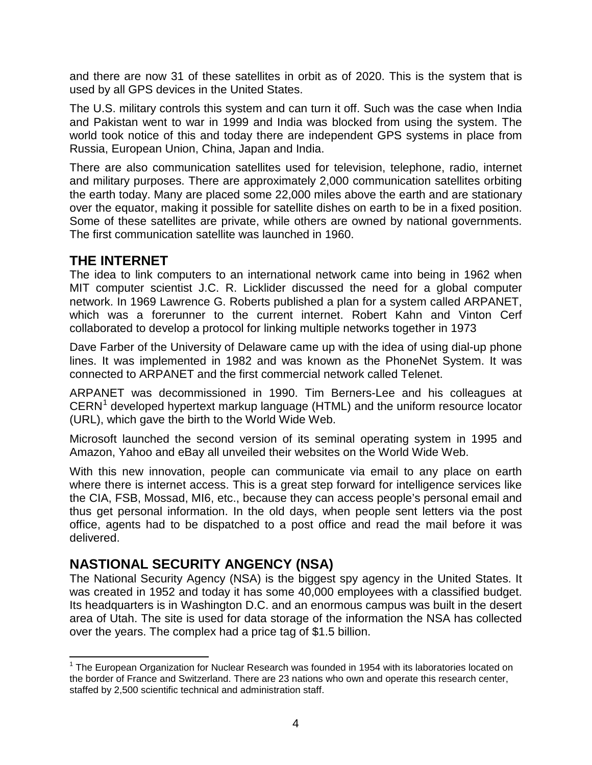and there are now 31 of these satellites in orbit as of 2020. This is the system that is used by all GPS devices in the United States.

The U.S. military controls this system and can turn it off. Such was the case when India and Pakistan went to war in 1999 and India was blocked from using the system. The world took notice of this and today there are independent GPS systems in place from Russia, European Union, China, Japan and India.

There are also communication satellites used for television, telephone, radio, internet and military purposes. There are approximately 2,000 communication satellites orbiting the earth today. Many are placed some 22,000 miles above the earth and are stationary over the equator, making it possible for satellite dishes on earth to be in a fixed position. Some of these satellites are private, while others are owned by national governments. The first communication satellite was launched in 1960.

## **THE INTERNET**

The idea to link computers to an international network came into being in 1962 when MIT computer scientist J.C. R. Licklider discussed the need for a global computer network. In 1969 Lawrence G. Roberts published a plan for a system called ARPANET, which was a forerunner to the current internet. Robert Kahn and Vinton Cerf collaborated to develop a protocol for linking multiple networks together in 1973

Dave Farber of the University of Delaware came up with the idea of using dial-up phone lines. It was implemented in 1982 and was known as the PhoneNet System. It was connected to ARPANET and the first commercial network called Telenet.

ARPANET was decommissioned in 1990. Tim Berners-Lee and his colleagues at  $CERN<sup>1</sup>$  $CERN<sup>1</sup>$  $CERN<sup>1</sup>$  developed hypertext markup language (HTML) and the uniform resource locator (URL), which gave the birth to the World Wide Web.

Microsoft launched the second version of its seminal operating system in 1995 and Amazon, Yahoo and eBay all unveiled their websites on the World Wide Web.

With this new innovation, people can communicate via email to any place on earth where there is internet access. This is a great step forward for intelligence services like the CIA, FSB, Mossad, MI6, etc., because they can access people's personal email and thus get personal information. In the old days, when people sent letters via the post office, agents had to be dispatched to a post office and read the mail before it was delivered.

# **NASTIONAL SECURITY ANGENCY (NSA)**

The National Security Agency (NSA) is the biggest spy agency in the United States. It was created in 1952 and today it has some 40,000 employees with a classified budget. Its headquarters is in Washington D.C. and an enormous campus was built in the desert area of Utah. The site is used for data storage of the information the NSA has collected over the years. The complex had a price tag of \$1.5 billion.

<span id="page-3-0"></span> $1$  The European Organization for Nuclear Research was founded in 1954 with its laboratories located on the border of France and Switzerland. There are 23 nations who own and operate this research center, staffed by 2,500 scientific technical and administration staff.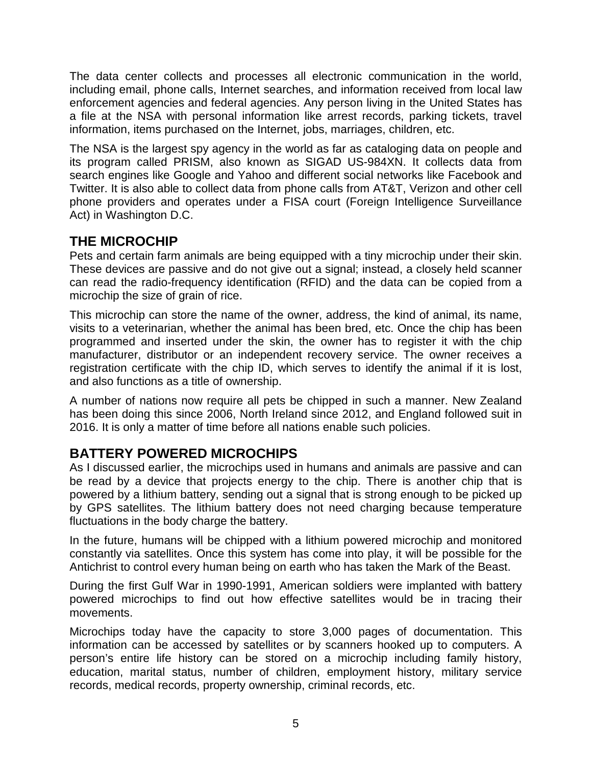The data center collects and processes all electronic communication in the world, including email, phone calls, Internet searches, and information received from local law enforcement agencies and federal agencies. Any person living in the United States has a file at the NSA with personal information like arrest records, parking tickets, travel information, items purchased on the Internet, jobs, marriages, children, etc.

The NSA is the largest spy agency in the world as far as cataloging data on people and its program called PRISM, also known as SIGAD US-984XN. It collects data from search engines like Google and Yahoo and different social networks like Facebook and Twitter. It is also able to collect data from phone calls from AT&T, Verizon and other cell phone providers and operates under a FISA court (Foreign Intelligence Surveillance Act) in Washington D.C.

#### **THE MICROCHIP**

Pets and certain farm animals are being equipped with a tiny microchip under their skin. These devices are passive and do not give out a signal; instead, a closely held scanner can read the radio-frequency identification (RFID) and the data can be copied from a microchip the size of grain of rice.

This microchip can store the name of the owner, address, the kind of animal, its name, visits to a veterinarian, whether the animal has been bred, etc. Once the chip has been programmed and inserted under the skin, the owner has to register it with the chip manufacturer, distributor or an independent recovery service. The owner receives a registration certificate with the chip ID, which serves to identify the animal if it is lost, and also functions as a title of ownership.

A number of nations now require all pets be chipped in such a manner. New Zealand has been doing this since 2006, North Ireland since 2012, and England followed suit in 2016. It is only a matter of time before all nations enable such policies.

## **BATTERY POWERED MICROCHIPS**

As I discussed earlier, the microchips used in humans and animals are passive and can be read by a device that projects energy to the chip. There is another chip that is powered by a lithium battery, sending out a signal that is strong enough to be picked up by GPS satellites. The lithium battery does not need charging because temperature fluctuations in the body charge the battery.

In the future, humans will be chipped with a lithium powered microchip and monitored constantly via satellites. Once this system has come into play, it will be possible for the Antichrist to control every human being on earth who has taken the Mark of the Beast.

During the first Gulf War in 1990-1991, American soldiers were implanted with battery powered microchips to find out how effective satellites would be in tracing their movements.

Microchips today have the capacity to store 3,000 pages of documentation. This information can be accessed by satellites or by scanners hooked up to computers. A person's entire life history can be stored on a microchip including family history, education, marital status, number of children, employment history, military service records, medical records, property ownership, criminal records, etc.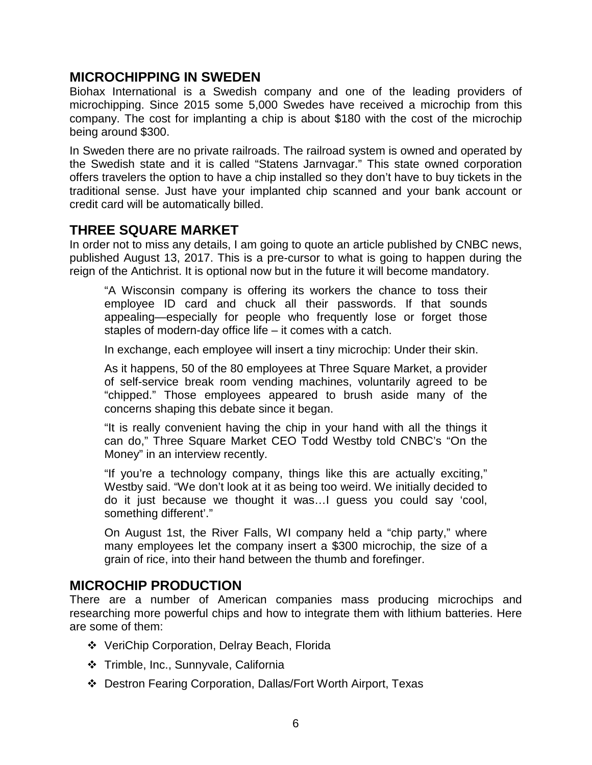#### **MICROCHIPPING IN SWEDEN**

Biohax International is a Swedish company and one of the leading providers of microchipping. Since 2015 some 5,000 Swedes have received a microchip from this company. The cost for implanting a chip is about \$180 with the cost of the microchip being around \$300.

In Sweden there are no private railroads. The railroad system is owned and operated by the Swedish state and it is called "Statens Jarnvagar." This state owned corporation offers travelers the option to have a chip installed so they don't have to buy tickets in the traditional sense. Just have your implanted chip scanned and your bank account or credit card will be automatically billed.

#### **THREE SQUARE MARKET**

In order not to miss any details, I am going to quote an article published by CNBC news, published August 13, 2017. This is a pre-cursor to what is going to happen during the reign of the Antichrist. It is optional now but in the future it will become mandatory.

"A Wisconsin company is offering its workers the chance to toss their employee ID card and chuck all their passwords. If that sounds appealing—especially for people who frequently lose or forget those staples of modern-day office life – it comes with a catch.

In exchange, each employee will insert a tiny microchip: Under their skin.

As it happens, 50 of the 80 employees at Three Square Market, a provider of self-service break room vending machines, voluntarily agreed to be "chipped." Those employees appeared to brush aside many of the concerns shaping this debate since it began.

"It is really convenient having the chip in your hand with all the things it can do," Three Square Market CEO Todd Westby told CNBC's "On the Money" in an interview recently.

"If you're a technology company, things like this are actually exciting," Westby said. "We don't look at it as being too weird. We initially decided to do it just because we thought it was…I guess you could say 'cool, something different'."

On August 1st, the River Falls, WI company held a "chip party," where many employees let the company insert a \$300 microchip, the size of a grain of rice, into their hand between the thumb and forefinger.

#### **MICROCHIP PRODUCTION**

There are a number of American companies mass producing microchips and researching more powerful chips and how to integrate them with lithium batteries. Here are some of them:

- VeriChip Corporation, Delray Beach, Florida
- Trimble, Inc., Sunnyvale, California
- Destron Fearing Corporation, Dallas/Fort Worth Airport, Texas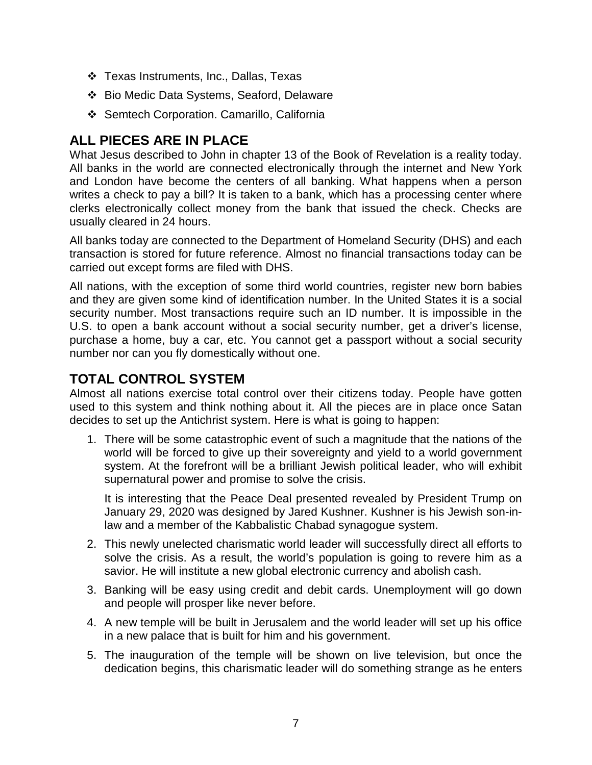- Texas Instruments, Inc., Dallas, Texas
- Bio Medic Data Systems, Seaford, Delaware
- Semtech Corporation. Camarillo, California

## **ALL PIECES ARE IN PLACE**

What Jesus described to John in chapter 13 of the Book of Revelation is a reality today. All banks in the world are connected electronically through the internet and New York and London have become the centers of all banking. What happens when a person writes a check to pay a bill? It is taken to a bank, which has a processing center where clerks electronically collect money from the bank that issued the check. Checks are usually cleared in 24 hours.

All banks today are connected to the Department of Homeland Security (DHS) and each transaction is stored for future reference. Almost no financial transactions today can be carried out except forms are filed with DHS.

All nations, with the exception of some third world countries, register new born babies and they are given some kind of identification number. In the United States it is a social security number. Most transactions require such an ID number. It is impossible in the U.S. to open a bank account without a social security number, get a driver's license, purchase a home, buy a car, etc. You cannot get a passport without a social security number nor can you fly domestically without one.

# **TOTAL CONTROL SYSTEM**

Almost all nations exercise total control over their citizens today. People have gotten used to this system and think nothing about it. All the pieces are in place once Satan decides to set up the Antichrist system. Here is what is going to happen:

1. There will be some catastrophic event of such a magnitude that the nations of the world will be forced to give up their sovereignty and yield to a world government system. At the forefront will be a brilliant Jewish political leader, who will exhibit supernatural power and promise to solve the crisis.

It is interesting that the Peace Deal presented revealed by President Trump on January 29, 2020 was designed by Jared Kushner. Kushner is his Jewish son-inlaw and a member of the Kabbalistic Chabad synagogue system.

- 2. This newly unelected charismatic world leader will successfully direct all efforts to solve the crisis. As a result, the world's population is going to revere him as a savior. He will institute a new global electronic currency and abolish cash.
- 3. Banking will be easy using credit and debit cards. Unemployment will go down and people will prosper like never before.
- 4. A new temple will be built in Jerusalem and the world leader will set up his office in a new palace that is built for him and his government.
- 5. The inauguration of the temple will be shown on live television, but once the dedication begins, this charismatic leader will do something strange as he enters